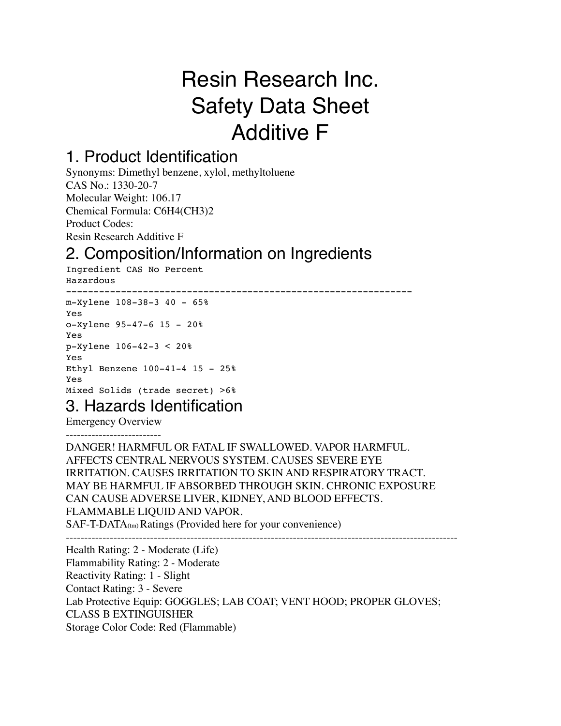# Resin Research Inc. Safety Data Sheet Additive F

### 1. Product Identification

Synonyms: Dimethyl benzene, xylol, methyltoluene CAS No.: 1330-20-7 Molecular Weight: 106.17 Chemical Formula: C6H4(CH3)2 Product Codes: Resin Research Additive F

### 2. Composition/Information on Ingredients

Ingredient CAS No Percent Hazardous

---------------------------------------------------------------

m-Xylene 108-38-3 40 - 65% Yes o-Xylene 95-47-6 15 - 20% Yes p-Xylene 106-42-3 < 20% Yes Ethyl Benzene 100-41-4 15 - 25% Yes Mixed Solids (trade secret) >6%

### 3. Hazards Identification

Emergency Overview

-------------------------- DANGER! HARMFUL OR FATAL IF SWALLOWED. VAPOR HARMFUL. AFFECTS CENTRAL NERVOUS SYSTEM. CAUSES SEVERE EYE IRRITATION. CAUSES IRRITATION TO SKIN AND RESPIRATORY TRACT. MAY BE HARMFUL IF ABSORBED THROUGH SKIN. CHRONIC EXPOSURE CAN CAUSE ADVERSE LIVER, KIDNEY, AND BLOOD EFFECTS. FLAMMABLE LIQUID AND VAPOR. SAF-T-DATA(tm) Ratings (Provided here for your convenience)

----------------------------------------------------------------------------------------------------------- Health Rating: 2 - Moderate (Life) Flammability Rating: 2 - Moderate Reactivity Rating: 1 - Slight Contact Rating: 3 - Severe Lab Protective Equip: GOGGLES; LAB COAT; VENT HOOD; PROPER GLOVES; CLASS B EXTINGUISHER Storage Color Code: Red (Flammable)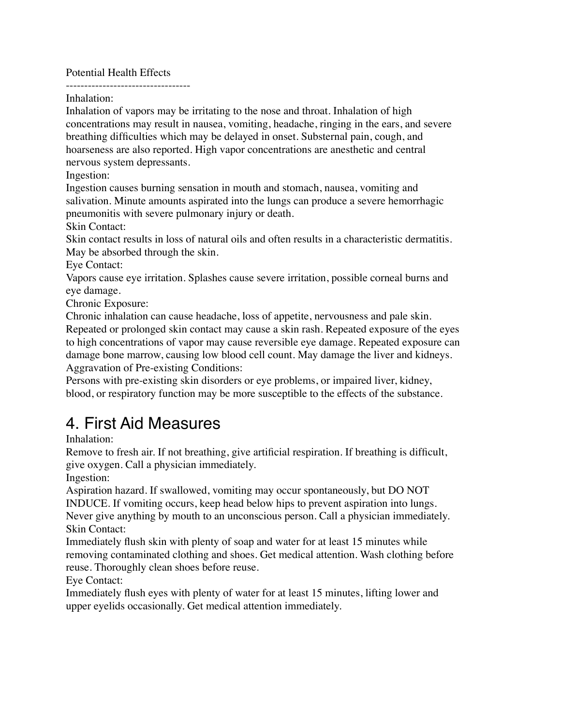Potential Health Effects ----------------------------------

Inhalation:

Inhalation of vapors may be irritating to the nose and throat. Inhalation of high concentrations may result in nausea, vomiting, headache, ringing in the ears, and severe breathing difficulties which may be delayed in onset. Substernal pain, cough, and hoarseness are also reported. High vapor concentrations are anesthetic and central nervous system depressants.

Ingestion:

Ingestion causes burning sensation in mouth and stomach, nausea, vomiting and salivation. Minute amounts aspirated into the lungs can produce a severe hemorrhagic pneumonitis with severe pulmonary injury or death.

Skin Contact:

Skin contact results in loss of natural oils and often results in a characteristic dermatitis. May be absorbed through the skin.

Eye Contact:

Vapors cause eye irritation. Splashes cause severe irritation, possible corneal burns and eye damage.

Chronic Exposure:

Chronic inhalation can cause headache, loss of appetite, nervousness and pale skin.

Repeated or prolonged skin contact may cause a skin rash. Repeated exposure of the eyes to high concentrations of vapor may cause reversible eye damage. Repeated exposure can damage bone marrow, causing low blood cell count. May damage the liver and kidneys. Aggravation of Pre-existing Conditions:

Persons with pre-existing skin disorders or eye problems, or impaired liver, kidney, blood, or respiratory function may be more susceptible to the effects of the substance.

### 4. First Aid Measures

Inhalation:

Remove to fresh air. If not breathing, give artificial respiration. If breathing is difficult, give oxygen. Call a physician immediately.

Ingestion:

Aspiration hazard. If swallowed, vomiting may occur spontaneously, but DO NOT INDUCE. If vomiting occurs, keep head below hips to prevent aspiration into lungs. Never give anything by mouth to an unconscious person. Call a physician immediately. Skin Contact:

Immediately flush skin with plenty of soap and water for at least 15 minutes while removing contaminated clothing and shoes. Get medical attention. Wash clothing before reuse. Thoroughly clean shoes before reuse.

Eye Contact:

Immediately flush eyes with plenty of water for at least 15 minutes, lifting lower and upper eyelids occasionally. Get medical attention immediately.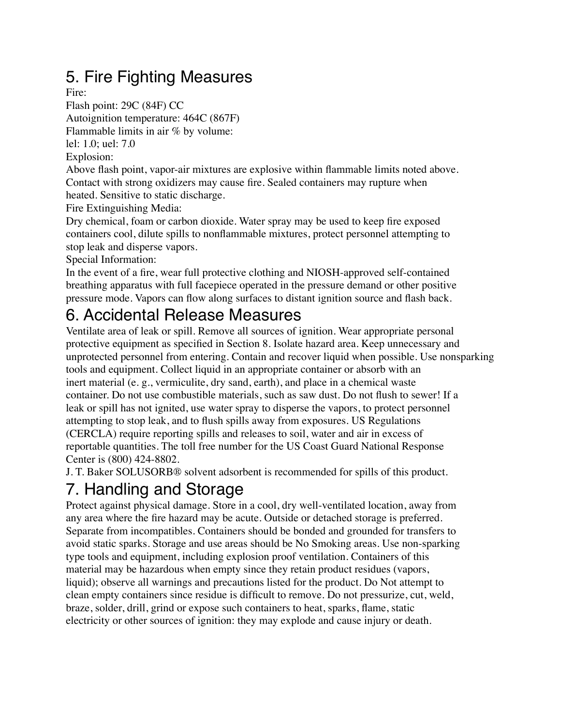# 5. Fire Fighting Measures

Fire:

Flash point: 29C (84F) CC Autoignition temperature: 464C (867F) Flammable limits in air % by volume:

lel: 1.0; uel: 7.0

Explosion:

Above flash point, vapor-air mixtures are explosive within flammable limits noted above. Contact with strong oxidizers may cause fire. Sealed containers may rupture when heated. Sensitive to static discharge.

Fire Extinguishing Media:

Dry chemical, foam or carbon dioxide. Water spray may be used to keep fire exposed containers cool, dilute spills to nonflammable mixtures, protect personnel attempting to stop leak and disperse vapors.

Special Information:

In the event of a fire, wear full protective clothing and NIOSH-approved self-contained breathing apparatus with full facepiece operated in the pressure demand or other positive pressure mode. Vapors can flow along surfaces to distant ignition source and flash back.

# 6. Accidental Release Measures

Ventilate area of leak or spill. Remove all sources of ignition. Wear appropriate personal protective equipment as specified in Section 8. Isolate hazard area. Keep unnecessary and unprotected personnel from entering. Contain and recover liquid when possible. Use nonsparking tools and equipment. Collect liquid in an appropriate container or absorb with an inert material (e. g., vermiculite, dry sand, earth), and place in a chemical waste container. Do not use combustible materials, such as saw dust. Do not flush to sewer! If a leak or spill has not ignited, use water spray to disperse the vapors, to protect personnel attempting to stop leak, and to flush spills away from exposures. US Regulations (CERCLA) require reporting spills and releases to soil, water and air in excess of reportable quantities. The toll free number for the US Coast Guard National Response Center is (800) 424-8802.

J. T. Baker SOLUSORB® solvent adsorbent is recommended for spills of this product.

# 7. Handling and Storage

Protect against physical damage. Store in a cool, dry well-ventilated location, away from any area where the fire hazard may be acute. Outside or detached storage is preferred. Separate from incompatibles. Containers should be bonded and grounded for transfers to avoid static sparks. Storage and use areas should be No Smoking areas. Use non-sparking type tools and equipment, including explosion proof ventilation. Containers of this material may be hazardous when empty since they retain product residues (vapors, liquid); observe all warnings and precautions listed for the product. Do Not attempt to clean empty containers since residue is difficult to remove. Do not pressurize, cut, weld, braze, solder, drill, grind or expose such containers to heat, sparks, flame, static electricity or other sources of ignition: they may explode and cause injury or death.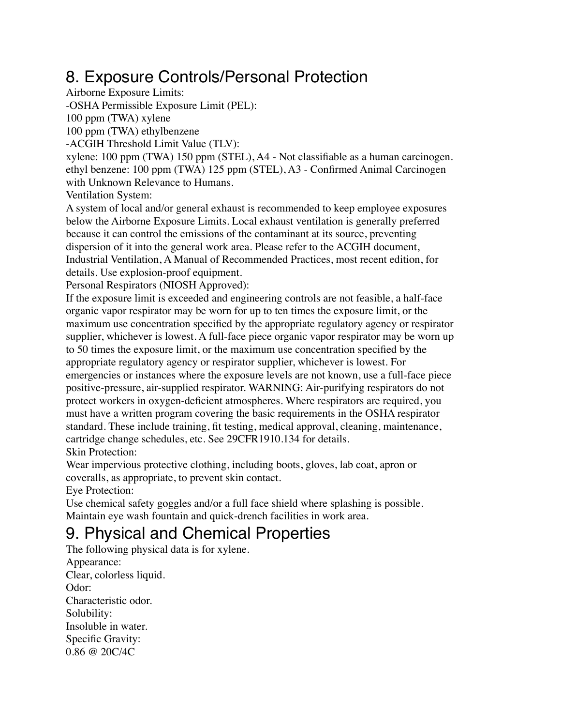### 8. Exposure Controls/Personal Protection

Airborne Exposure Limits:

-OSHA Permissible Exposure Limit (PEL):

100 ppm (TWA) xylene

100 ppm (TWA) ethylbenzene

-ACGIH Threshold Limit Value (TLV):

xylene: 100 ppm (TWA) 150 ppm (STEL), A4 - Not classifiable as a human carcinogen. ethyl benzene: 100 ppm (TWA) 125 ppm (STEL), A3 - Confirmed Animal Carcinogen with Unknown Relevance to Humans.

Ventilation System:

A system of local and/or general exhaust is recommended to keep employee exposures below the Airborne Exposure Limits. Local exhaust ventilation is generally preferred because it can control the emissions of the contaminant at its source, preventing dispersion of it into the general work area. Please refer to the ACGIH document, Industrial Ventilation, A Manual of Recommended Practices, most recent edition, for details. Use explosion-proof equipment.

Personal Respirators (NIOSH Approved):

If the exposure limit is exceeded and engineering controls are not feasible, a half-face organic vapor respirator may be worn for up to ten times the exposure limit, or the maximum use concentration specified by the appropriate regulatory agency or respirator supplier, whichever is lowest. A full-face piece organic vapor respirator may be worn up to 50 times the exposure limit, or the maximum use concentration specified by the appropriate regulatory agency or respirator supplier, whichever is lowest. For emergencies or instances where the exposure levels are not known, use a full-face piece positive-pressure, air-supplied respirator. WARNING: Air-purifying respirators do not protect workers in oxygen-deficient atmospheres. Where respirators are required, you must have a written program covering the basic requirements in the OSHA respirator standard. These include training, fit testing, medical approval, cleaning, maintenance, cartridge change schedules, etc. See 29CFR1910.134 for details. Skin Protection:

Wear impervious protective clothing, including boots, gloves, lab coat, apron or coveralls, as appropriate, to prevent skin contact.

Eye Protection:

Use chemical safety goggles and/or a full face shield where splashing is possible. Maintain eye wash fountain and quick-drench facilities in work area.

# 9. Physical and Chemical Properties

The following physical data is for xylene. Appearance: Clear, colorless liquid. Odor: Characteristic odor. Solubility: Insoluble in water. Specific Gravity: 0.86 @ 20C/4C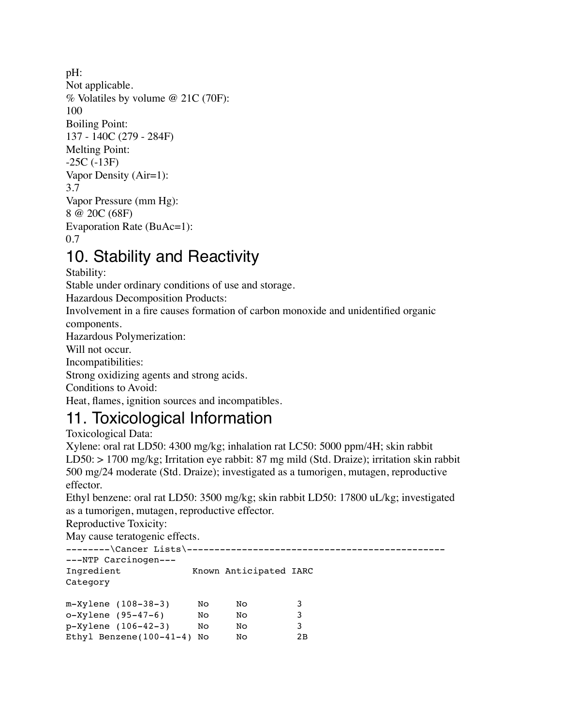```
pH:
Not applicable.
% Volatiles by volume @ 21C (70F):
100
Boiling Point:
137 - 140C (279 - 284F)
Melting Point:
-25C (-13F)
Vapor Density (Air=1):
3.7
Vapor Pressure (mm Hg):
8 @ 20C (68F)
Evaporation Rate (BuAc=1):
0.7
```
# 10. Stability and Reactivity

Stability:

Stable under ordinary conditions of use and storage.

Hazardous Decomposition Products:

Involvement in a fire causes formation of carbon monoxide and unidentified organic

components.

Hazardous Polymerization:

Will not occur.

Incompatibilities:

Strong oxidizing agents and strong acids.

Conditions to Avoid:

Heat, flames, ignition sources and incompatibles.

## 11. Toxicological Information

Toxicological Data:

Xylene: oral rat LD50: 4300 mg/kg; inhalation rat LC50: 5000 ppm/4H; skin rabbit LD50: > 1700 mg/kg; Irritation eye rabbit: 87 mg mild (Std. Draize); irritation skin rabbit 500 mg/24 moderate (Std. Draize); investigated as a tumorigen, mutagen, reproductive effector.

Ethyl benzene: oral rat LD50: 3500 mg/kg; skin rabbit LD50: 17800 uL/kg; investigated as a tumorigen, mutagen, reproductive effector.

Reproductive Toxicity:

May cause teratogenic effects.

```
--------\Cancer Lists\-----------------------------------------------
---NTP Carcinogen---
Ingredient Known Anticipated IARC
Category
m-Xylene (108-38-3) No No 3
o-Xylene (95-47-6) No No 3
p-Xylene (106-42-3) No No 3
Ethyl Benzene(100-41-4) No No 2B
```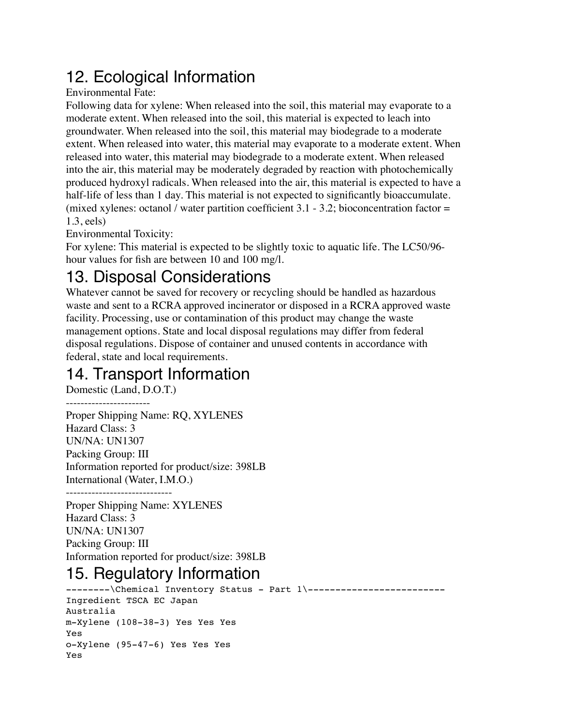# 12. Ecological Information

Environmental Fate:

Following data for xylene: When released into the soil, this material may evaporate to a moderate extent. When released into the soil, this material is expected to leach into groundwater. When released into the soil, this material may biodegrade to a moderate extent. When released into water, this material may evaporate to a moderate extent. When released into water, this material may biodegrade to a moderate extent. When released into the air, this material may be moderately degraded by reaction with photochemically produced hydroxyl radicals. When released into the air, this material is expected to have a half-life of less than 1 day. This material is not expected to significantly bioaccumulate. (mixed xylenes: octanol / water partition coefficient  $3.1 - 3.2$ ; bioconcentration factor = 1.3, eels)

Environmental Toxicity:

For xylene: This material is expected to be slightly toxic to aquatic life. The LC50/96 hour values for fish are between 10 and 100 mg/l.

# 13. Disposal Considerations

Whatever cannot be saved for recovery or recycling should be handled as hazardous waste and sent to a RCRA approved incinerator or disposed in a RCRA approved waste facility. Processing, use or contamination of this product may change the waste management options. State and local disposal regulations may differ from federal disposal regulations. Dispose of container and unused contents in accordance with federal, state and local requirements.

## 14. Transport Information

Domestic (Land, D.O.T.)

----------------------- Proper Shipping Name: RQ, XYLENES Hazard Class: 3 UN/NA: UN1307 Packing Group: III Information reported for product/size: 398LB International (Water, I.M.O.) -----------------------------

Proper Shipping Name: XYLENES Hazard Class: 3 UN/NA: UN1307 Packing Group: III Information reported for product/size: 398LB

### 15. Regulatory Information

--------\Chemical Inventory Status - Part 1\--------------------------Ingredient TSCA EC Japan Australia m-Xylene (108-38-3) Yes Yes Yes Yes o-Xylene (95-47-6) Yes Yes Yes Yes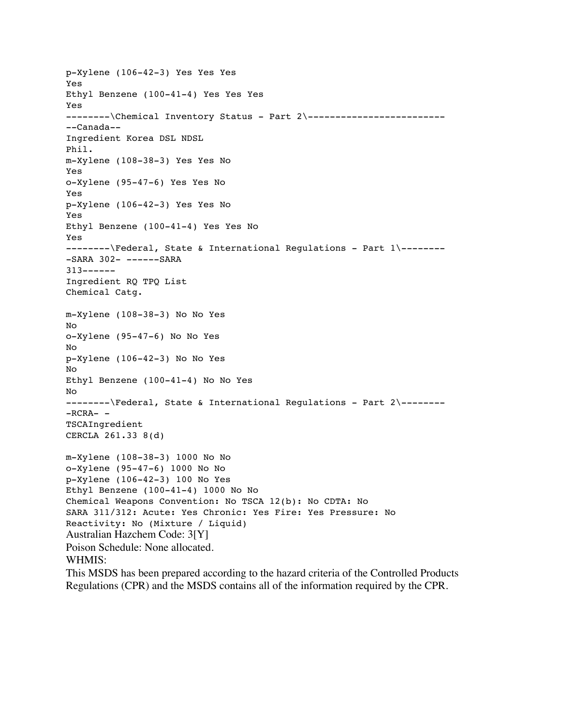p-Xylene (106-42-3) Yes Yes Yes Yes Ethyl Benzene (100-41-4) Yes Yes Yes Yes --------\Chemical Inventory Status - Part 2\---------------------------Canada-- Ingredient Korea DSL NDSL Phil. m-Xylene (108-38-3) Yes Yes No Yes o-Xylene (95-47-6) Yes Yes No Yes p-Xylene (106-42-3) Yes Yes No Yes Ethyl Benzene (100-41-4) Yes Yes No Yes --------\Federal, State & International Regulations - Part 1\-------- -SARA 302- ------SARA  $313------$ Ingredient RQ TPQ List Chemical Catg. m-Xylene (108-38-3) No No Yes No o-Xylene (95-47-6) No No Yes No p-Xylene (106-42-3) No No Yes No Ethyl Benzene (100-41-4) No No Yes No --------\Federal, State & International Regulations - Part 2\--------  $-RCRA- -$ TSCAIngredient CERCLA 261.33 8(d) m-Xylene (108-38-3) 1000 No No o-Xylene (95-47-6) 1000 No No p-Xylene (106-42-3) 100 No Yes Ethyl Benzene (100-41-4) 1000 No No Chemical Weapons Convention: No TSCA 12(b): No CDTA: No SARA 311/312: Acute: Yes Chronic: Yes Fire: Yes Pressure: No Reactivity: No (Mixture / Liquid) Australian Hazchem Code: 3[Y] Poison Schedule: None allocated. WHMIS: This MSDS has been prepared according to the hazard criteria of the Controlled Products Regulations (CPR) and the MSDS contains all of the information required by the CPR.